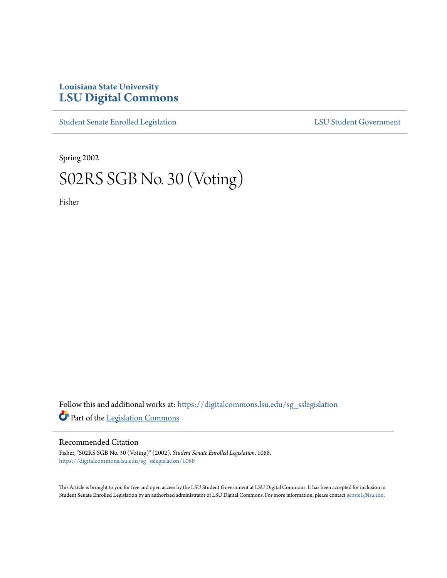## **Louisiana State University [LSU Digital Commons](https://digitalcommons.lsu.edu?utm_source=digitalcommons.lsu.edu%2Fsg_sslegislation%2F1088&utm_medium=PDF&utm_campaign=PDFCoverPages)**

[Student Senate Enrolled Legislation](https://digitalcommons.lsu.edu/sg_sslegislation?utm_source=digitalcommons.lsu.edu%2Fsg_sslegislation%2F1088&utm_medium=PDF&utm_campaign=PDFCoverPages) [LSU Student Government](https://digitalcommons.lsu.edu/sg?utm_source=digitalcommons.lsu.edu%2Fsg_sslegislation%2F1088&utm_medium=PDF&utm_campaign=PDFCoverPages)

Spring 2002

# S02RS SGB No. 30 (Voting)

Fisher

Follow this and additional works at: [https://digitalcommons.lsu.edu/sg\\_sslegislation](https://digitalcommons.lsu.edu/sg_sslegislation?utm_source=digitalcommons.lsu.edu%2Fsg_sslegislation%2F1088&utm_medium=PDF&utm_campaign=PDFCoverPages) Part of the [Legislation Commons](http://network.bepress.com/hgg/discipline/859?utm_source=digitalcommons.lsu.edu%2Fsg_sslegislation%2F1088&utm_medium=PDF&utm_campaign=PDFCoverPages)

### Recommended Citation

Fisher, "S02RS SGB No. 30 (Voting)" (2002). *Student Senate Enrolled Legislation*. 1088. [https://digitalcommons.lsu.edu/sg\\_sslegislation/1088](https://digitalcommons.lsu.edu/sg_sslegislation/1088?utm_source=digitalcommons.lsu.edu%2Fsg_sslegislation%2F1088&utm_medium=PDF&utm_campaign=PDFCoverPages)

This Article is brought to you for free and open access by the LSU Student Government at LSU Digital Commons. It has been accepted for inclusion in Student Senate Enrolled Legislation by an authorized administrator of LSU Digital Commons. For more information, please contact [gcoste1@lsu.edu.](mailto:gcoste1@lsu.edu)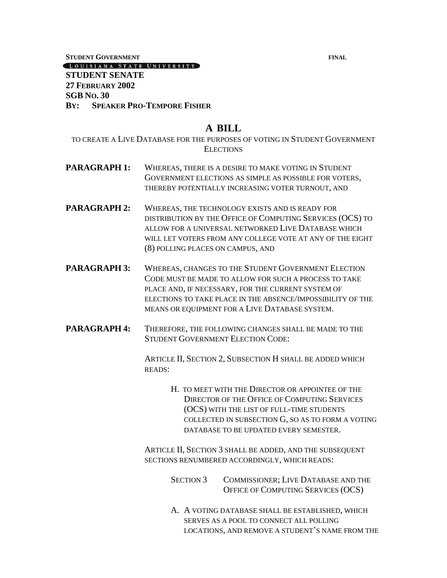**STUDENT GOVERNMENT FINAL**

#### LOUISIANA STATE UNIVERSITY

## **STUDENT SENATE 27 FEBRUARY 2002 SGB NO. 30 BY: SPEAKER PRO-TEMPORE FISHER**

## **A BILL**

TO CREATE A LIVE DATABASE FOR THE PURPOSES OF VOTING IN STUDENT GOVERNMENT **ELECTIONS** 

- **PARAGRAPH 1:** WHEREAS, THERE IS A DESIRE TO MAKE VOTING IN STUDENT GOVERNMENT ELECTIONS AS SIMPLE AS POSSIBLE FOR VOTERS, THEREBY POTENTIALLY INCREASING VOTER TURNOUT, AND
- **PARAGRAPH 2:** WHEREAS, THE TECHNOLOGY EXISTS AND IS READY FOR DISTRIBUTION BY THE OFFICE OF COMPUTING SERVICES (OCS) TO ALLOW FOR A UNIVERSAL NETWORKED LIVE DATABASE WHICH WILL LET VOTERS FROM ANY COLLEGE VOTE AT ANY OF THE EIGHT (8) POLLING PLACES ON CAMPUS, AND
- **PARAGRAPH 3:** WHEREAS, CHANGES TO THE STUDENT GOVERNMENT ELECTION CODE MUST BE MADE TO ALLOW FOR SUCH A PROCESS TO TAKE PLACE AND, IF NECESSARY, FOR THE CURRENT SYSTEM OF ELECTIONS TO TAKE PLACE IN THE ABSENCE/IMPOSSIBILITY OF THE MEANS OR EQUIPMENT FOR A LIVE DATABASE SYSTEM.
- **PARAGRAPH 4:** THEREFORE, THE FOLLOWING CHANGES SHALL BE MADE TO THE STUDENT GOVERNMENT ELECTION CODE:

ARTICLE II, SECTION 2, SUBSECTION H SHALL BE ADDED WHICH READS:

> H. TO MEET WITH THE DIRECTOR OR APPOINTEE OF THE DIRECTOR OF THE OFFICE OF COMPUTING SERVICES (OCS) WITH THE LIST OF FULL-TIME STUDENTS COLLECTED IN SUBSECTION G, SO AS TO FORM A VOTING DATABASE TO BE UPDATED EVERY SEMESTER.

ARTICLE II, SECTION 3 SHALL BE ADDED, AND THE SUBSEQUENT SECTIONS RENUMBERED ACCORDINGLY, WHICH READS:

> SECTION 3 COMMISSIONER; LIVE DATABASE AND THE OFFICE OF COMPUTING SERVICES (OCS)

A. A VOTING DATABASE SHALL BE ESTABLISHED, WHICH SERVES AS A POOL TO CONNECT ALL POLLING LOCATIONS, AND REMOVE A STUDENT'S NAME FROM THE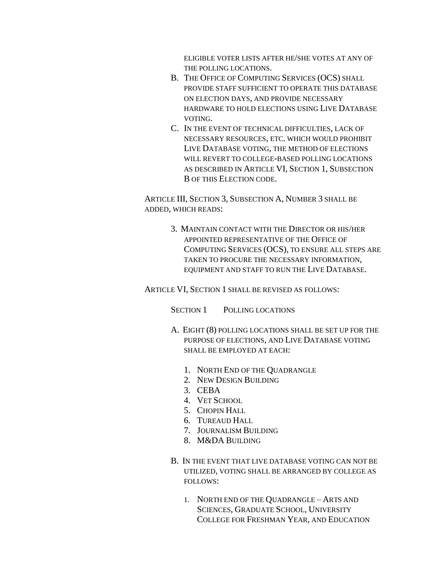ELIGIBLE VOTER LISTS AFTER HE/SHE VOTES AT ANY OF THE POLLING LOCATIONS.

- B. THE OFFICE OF COMPUTING SERVICES (OCS) SHALL PROVIDE STAFF SUFFICIENT TO OPERATE THIS DATABASE ON ELECTION DAYS, AND PROVIDE NECESSARY HARDWARE TO HOLD ELECTIONS USING LIVE DATABASE VOTING.
- C. IN THE EVENT OF TECHNICAL DIFFICULTIES, LACK OF NECESSARY RESOURCES, ETC. WHICH WOULD PROHIBIT LIVE DATABASE VOTING, THE METHOD OF ELECTIONS WILL REVERT TO COLLEGE-BASED POLLING LOCATIONS AS DESCRIBED IN ARTICLE VI, SECTION 1, SUBSECTION B OF THIS ELECTION CODE.

ARTICLE III, SECTION 3, SUBSECTION A, NUMBER 3 SHALL BE ADDED, WHICH READS:

> 3. MAINTAIN CONTACT WITH THE DIRECTOR OR HIS/HER APPOINTED REPRESENTATIVE OF THE OFFICE OF COMPUTING SERVICES (OCS), TO ENSURE ALL STEPS ARE TAKEN TO PROCURE THE NECESSARY INFORMATION, EQUIPMENT AND STAFF TO RUN THE LIVE DATABASE.

ARTICLE VI, SECTION 1 SHALL BE REVISED AS FOLLOWS:

SECTION 1 POLLING LOCATIONS

- A. EIGHT (8) POLLING LOCATIONS SHALL BE SET UP FOR THE PURPOSE OF ELECTIONS, AND LIVE DATABASE VOTING SHALL BE EMPLOYED AT EACH:
	- 1. NORTH END OF THE QUADRANGLE
	- 2. NEW DESIGN BUILDING
	- 3. CEBA
	- 4. VET SCHOOL
	- 5. CHOPIN HALL
	- 6. TUREAUD HALL
	- 7. JOURNALISM BUILDING
	- 8. M&DA BUILDING
- B. IN THE EVENT THAT LIVE DATABASE VOTING CAN NOT BE UTILIZED, VOTING SHALL BE ARRANGED BY COLLEGE AS FOLLOWS:
	- 1. NORTH END OF THE QUADRANGLE ARTS AND SCIENCES, GRADUATE SCHOOL, UNIVERSITY COLLEGE FOR FRESHMAN YEAR, AND EDUCATION